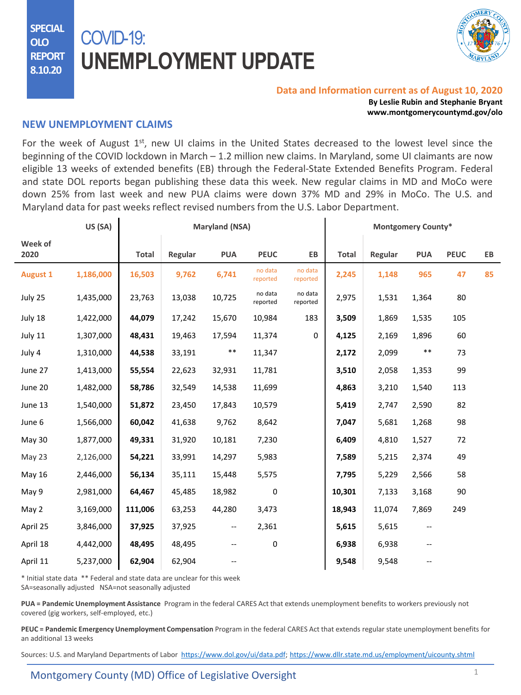**SPECIAL OLO REPORT 8.10.20**

# COVID-19: **UNEMPLOYMENT UPDATE**



#### **Data and Information current as of August 10, 2020**

**By Leslie Rubin and Stephanie Bryant www.montgomerycountymd.gov/olo**

#### **NEW UNEMPLOYMENT CLAIMS**

For the week of August 1<sup>st</sup>, new UI claims in the United States decreased to the lowest level since the beginning of the COVID lockdown in March – 1.2 million new claims. In Maryland, some UI claimants are now eligible 13 weeks of extended benefits (EB) through the Federal-State Extended Benefits Program. Federal and state DOL reports began publishing these data this week. New regular claims in MD and MoCo were down 25% from last week and new PUA claims were down 37% MD and 29% in MoCo. The U.S. and Maryland data for past weeks reflect revised numbers from the U.S. Labor Department.

|                 | US (SA)   |              |         | <b>Maryland (NSA)</b>    |                     |                     |              |         | <b>Montgomery County*</b> |             |    |
|-----------------|-----------|--------------|---------|--------------------------|---------------------|---------------------|--------------|---------|---------------------------|-------------|----|
| Week of<br>2020 |           | <b>Total</b> | Regular | <b>PUA</b>               | <b>PEUC</b>         | EB                  | <b>Total</b> | Regular | <b>PUA</b>                | <b>PEUC</b> | EB |
| <b>August 1</b> | 1,186,000 | 16,503       | 9,762   | 6,741                    | no data<br>reported | no data<br>reported | 2,245        | 1,148   | 965                       | 47          | 85 |
| July 25         | 1,435,000 | 23,763       | 13,038  | 10,725                   | no data<br>reported | no data<br>reported | 2,975        | 1,531   | 1,364                     | 80          |    |
| July 18         | 1,422,000 | 44,079       | 17,242  | 15,670                   | 10,984              | 183                 | 3,509        | 1,869   | 1,535                     | 105         |    |
| July 11         | 1,307,000 | 48,431       | 19,463  | 17,594                   | 11,374              | 0                   | 4,125        | 2,169   | 1,896                     | 60          |    |
| July 4          | 1,310,000 | 44,538       | 33,191  | $\ast\ast$               | 11,347              |                     | 2,172        | 2,099   | **                        | 73          |    |
| June 27         | 1,413,000 | 55,554       | 22,623  | 32,931                   | 11,781              |                     | 3,510        | 2,058   | 1,353                     | 99          |    |
| June 20         | 1,482,000 | 58,786       | 32,549  | 14,538                   | 11,699              |                     | 4,863        | 3,210   | 1,540                     | 113         |    |
| June 13         | 1,540,000 | 51,872       | 23,450  | 17,843                   | 10,579              |                     | 5,419        | 2,747   | 2,590                     | 82          |    |
| June 6          | 1,566,000 | 60,042       | 41,638  | 9,762                    | 8,642               |                     | 7,047        | 5,681   | 1,268                     | 98          |    |
| May 30          | 1,877,000 | 49,331       | 31,920  | 10,181                   | 7,230               |                     | 6,409        | 4,810   | 1,527                     | 72          |    |
| May 23          | 2,126,000 | 54,221       | 33,991  | 14,297                   | 5,983               |                     | 7,589        | 5,215   | 2,374                     | 49          |    |
| May 16          | 2,446,000 | 56,134       | 35,111  | 15,448                   | 5,575               |                     | 7,795        | 5,229   | 2,566                     | 58          |    |
| May 9           | 2,981,000 | 64,467       | 45,485  | 18,982                   | 0                   |                     | 10,301       | 7,133   | 3,168                     | 90          |    |
| May 2           | 3,169,000 | 111,006      | 63,253  | 44,280                   | 3,473               |                     | 18,943       | 11,074  | 7,869                     | 249         |    |
| April 25        | 3,846,000 | 37,925       | 37,925  | $\overline{\phantom{a}}$ | 2,361               |                     | 5,615        | 5,615   | $\overline{\phantom{a}}$  |             |    |
| April 18        | 4,442,000 | 48,495       | 48,495  | --                       | 0                   |                     | 6,938        | 6,938   | $\overline{\phantom{m}}$  |             |    |
| April 11        | 5,237,000 | 62,904       | 62,904  | --                       |                     |                     | 9,548        | 9,548   | --                        |             |    |

\* Initial state data \*\* Federal and state data are unclear for this week SA=seasonally adjusted NSA=not seasonally adjusted

**PUA = Pandemic Unemployment Assistance** Program in the federal CARES Act that extends unemployment benefits to workers previously not covered (gig workers, self-employed, etc.)

**PEUC = Pandemic Emergency Unemployment Compensation** Program in the federal CARES Act that extends regular state unemployment benefits for an additional 13 weeks

Sources: U.S. and Maryland Departments of Labor [https://www.dol.gov/ui/data.pdf;](https://www.dol.gov/ui/data.pdf) <https://www.dllr.state.md.us/employment/uicounty.shtml>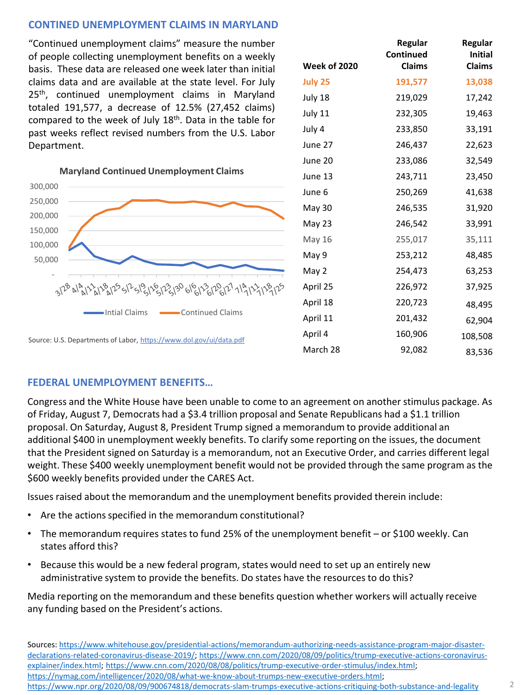# **CONTINED UNEMPLOYMENT CLAIMS IN MARYLAND**

"Continued unemployment claims" measure the number of people collecting unemployment benefits on a weekly basis. These data are released one week later than initial claims data and are available at the state level. For July 25<sup>th</sup>, continued unemployment claims in Maryland totaled 191,577, a decrease of 12.5% (27,452 claims) compared to the week of July 18<sup>th</sup>. Data in the table for past weeks reflect revised numbers from the U.S. Labor Department.

**Maryland Continued Unemployment Claims**



| <b>Week of 2020</b> | Regular<br>Continued<br><b>Claims</b> | Regular<br><b>Initial</b><br><b>Claims</b> |
|---------------------|---------------------------------------|--------------------------------------------|
| <b>July 25</b>      | 191,577                               | 13,038                                     |
| July 18             | 219,029                               | 17,242                                     |
| July 11             | 232,305                               | 19,463                                     |
| July 4              | 233,850                               | 33,191                                     |
| June 27             | 246,437                               | 22,623                                     |
| June 20             | 233,086                               | 32,549                                     |
| June 13             | 243,711                               | 23,450                                     |
| June 6              | 250,269                               | 41,638                                     |
| May 30              | 246,535                               | 31,920                                     |
| May 23              | 246,542                               | 33,991                                     |
| May 16              | 255,017                               | 35,111                                     |
| May 9               | 253,212                               | 48,485                                     |
| May 2               | 254,473                               | 63,253                                     |
| April 25            | 226,972                               | 37,925                                     |
| April 18            | 220,723                               | 48,495                                     |
| April 11            | 201,432                               | 62,904                                     |
| April 4             | 160,906                               | 108,508                                    |
| March 28            | 92,082                                | 83,536                                     |

## **FEDERAL UNEMPLOYMENT BENEFITS…**

Congress and the White House have been unable to come to an agreement on another stimulus package. As of Friday, August 7, Democrats had a \$3.4 trillion proposal and Senate Republicans had a \$1.1 trillion proposal. On Saturday, August 8, President Trump signed a memorandum to provide additional an additional \$400 in unemployment weekly benefits. To clarify some reporting on the issues, the document that the President signed on Saturday is a memorandum, not an Executive Order, and carries different legal weight. These \$400 weekly unemployment benefit would not be provided through the same program as the \$600 weekly benefits provided under the CARES Act.

Issues raised about the memorandum and the unemployment benefits provided therein include:

- Are the actions specified in the memorandum constitutional?
- The memorandum requires states to fund 25% of the unemployment benefit or \$100 weekly. Can states aff[ord this?](https://www.dllr.state.md.us/employment/uicovidaswfaqs.shtml)
- Because this would be a new federal program, states would need to set up an entirely new administrative system to provide the benefits. Do states have the resources to do this?

Media reporting on the memorandum and these benefits question whether workers will actually receive any funding based on the President's actions.

[Sources: https://www.whitehouse.gov/presidential-actions/memorandum-authorizing-needs-assistance-program-major-disaster](https://www.whitehouse.gov/presidential-actions/memorandum-authorizing-needs-assistance-program-major-disaster-declarations-related-coronavirus-disease-2019/)[declarations-related-coronavirus-disease-2019/; https://www.cnn.com/2020/08/09/politics/trump-executive-actions-coronavirus](https://www.cnn.com/2020/08/09/politics/trump-executive-actions-coronavirus-explainer/index.html)explainer/index.html; <https://www.cnn.com/2020/08/08/politics/trump-executive-order-stimulus/index.html>; [https://nymag.com/intelligencer/2020/08/what-we-know-about-trumps-new-executive-orders.html;](https://nymag.com/intelligencer/2020/08/what-we-know-about-trumps-new-executive-orders.html) <https://www.npr.org/2020/08/09/900674818/democrats-slam-trumps-executive-actions-critiquing-both-substance-and-legality>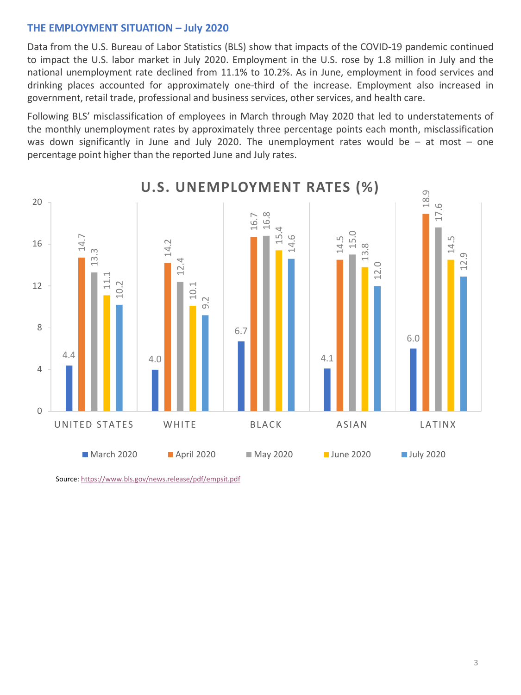## **THE EMPLOYMENT SITUATION – July 2020**

Data from the U.S. Bureau of Labor Statistics (BLS) show that impacts of the COVID-19 pandemic continued to impact the U.S. labor market in July 2020. Employment in the U.S. rose by 1.8 million in July and the national unemployment rate declined from 11.1% to 10.2%. As in June, employment in food services and drinking places accounted for approximately one-third of the increase. Employment also increased in government, retail trade, professional and business services, other services, and health care.

Following BLS' misclassification of employees in March through May 2020 that led to understatements of the monthly unemployment rates by approximately three percentage points each month, misclassification was down significantly in June and July 2020. The [unemployment](https://www.dllr.state.md.us/employment/clmtguide/uiclmtpamphlet.pdf) rates would be  $-$  at most  $-$  one percentage point higher than the reported June and July rates.



**U.S. UNEMPLOYMENT RATES (%)**

Source: <https://www.bls.gov/news.release/pdf/empsit.pdf>